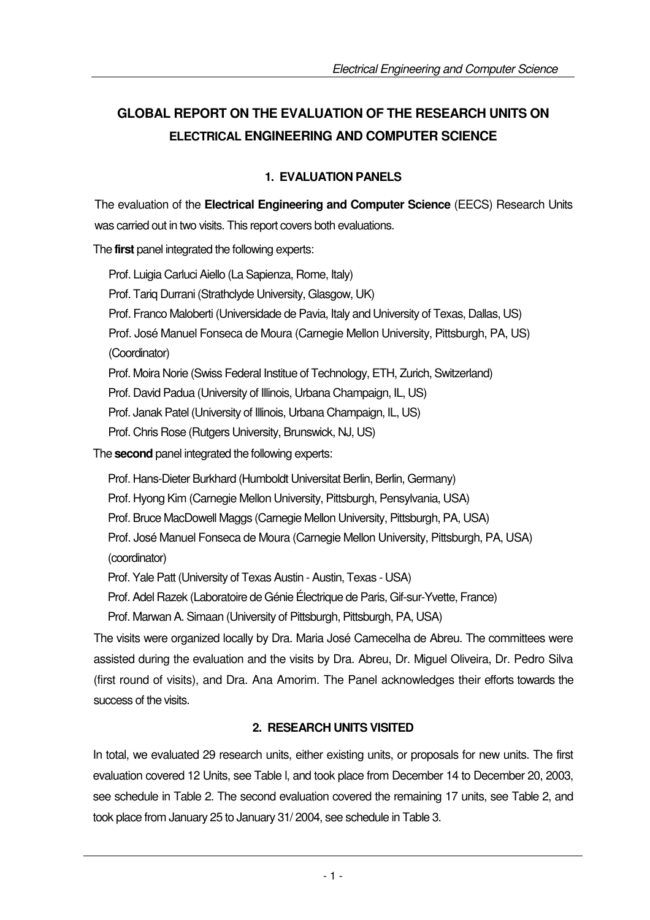# **GLOBAL REPORT ON THE EVALUATION OF THE RESEARCH UNITS ON ELECTRICAL ENGINEERING AND COMPUTER SCIENCE**

## **1. EVALUATION PANELS**

The evaluation of the **Electrical Engineering and Computer Science** (EECS) Research Units was carried out in two visits. This report covers both evaluations.

The **first** panel integrated the following experts:

Prof. Luigia Carluci Aiello (La Sapienza, Rome, Italy) Prof. Tariq Durrani (Strathclyde University, Glasgow, UK) Prof. Franco Maloberti (Universidade de Pavia, Italy and University of Texas, Dallas, US) Prof. José Manuel Fonseca de Moura (Carnegie Mellon University, Pittsburgh, PA, US) (Coordinator) Prof. Moira Norie (Swiss Federal Institue of Technology, ETH, Zurich, Switzerland)

Prof. David Padua (University of Illinois, Urbana Champaign, IL, US)

Prof. Janak Patel (University of Illinois, Urbana Champaign, IL, US)

Prof. Chris Rose (Rutgers University, Brunswick, NJ, US)

The **second** panel integrated the following experts:

Prof. Hans-Dieter Burkhard (Humboldt Universitat Berlin, Berlin, Germany)

Prof. Hyong Kim (Carnegie Mellon University, Pittsburgh, Pensylvania, USA)

Prof. Bruce MacDowell Maggs (Carnegie Mellon University, Pittsburgh, PA, USA)

Prof. José Manuel Fonseca de Moura (Carnegie Mellon University, Pittsburgh, PA, USA) (coordinator)

Prof. Yale Patt (University of Texas Austin - Austin, Texas - USA)

Prof. Adel Razek (Laboratoire de Génie Électrique de Paris, Gif-sur-Yvette, France)

Prof. Marwan A. Simaan (University of Pittsburgh, Pittsburgh, PA, USA)

The visits were organized locally by Dra. Maria José Camecelha de Abreu. The committees were assisted during the evaluation and the visits by Dra. Abreu, Dr. Miguel Oliveira, Dr. Pedro Silva (first round of visits), and Dra. Ana Amorim. The Panel acknowledges their efforts towards the success of the visits.

# **2. RESEARCH UNITS VISITED**

In total, we evaluated 29 research units, either existing units, or proposals for new units. The first evaluation covered 12 Units, see Table l, and took place from December 14 to December 20, 2003, see schedule in Table 2. The second evaluation covered the remaining 17 units, see Table 2, and took place from January 25 to January 31/ 2004, see schedule in Table 3.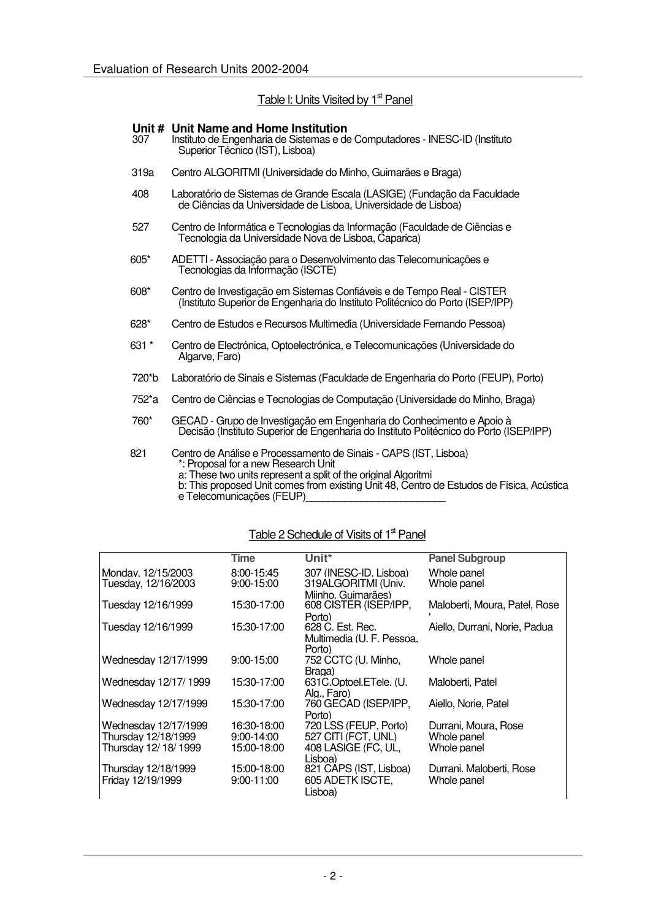#### Table I: Units Visited by 1<sup>st</sup> Panel

# **Unit # Unit Name and Home Institution**

- Instituto de Engenharia de Sistemas e de Computadores INESC-ID (Instituto Superior Técnico (IST), Lisboa)
- 319a Centro ALGORITMI (Universidade do Minho, Guimarães e Braga)
- 408 Laboratório de Sistemas de Grande Escala (LASIGE) (Fundação da Faculdade de Ciências da Universidade de Lisboa, Universidade de Lisboa)
- 527 Centro de Informática e Tecnologias da Informação (Faculdade de Ciências e Tecnologia da Universidade Nova de Lisboa, Caparica)
- 605\* ADETTI Associação para o Desenvolvimento das Telecomunicações e Tecnologias da Informação (ISCTE)
- 608\* Centro de Investigação em Sistemas Confiáveis e de Tempo Real CISTER (Instituto Superior de Engenharia do Instituto Politécnico do Porto (ISEP/IPP)
- 628\* Centro de Estudos e Recursos Multimedia (Universidade Fernando Pessoa)
- 631 \* Centro de Electrónica, Optoelectrónica, e Telecomunicações (Universidade do Algarve, Faro)
- 720\*b Laboratório de Sinais e Sistemas (Faculdade de Engenharia do Porto (FEUP), Porto)
- 752\*a Centro de Ciências e Tecnologias de Computação (Universidade do Minho, Braga)
- 760\* GECAD Grupo de Investigação em Engenharia do Conhecimento e Apoio à Decisão (Instituto Superior de Engenharia do Instituto Politécnico do Porto (ISEP/IPP)
- 821 Centro de Análise e Processamento de Sinais CAPS (IST, Lisboa) \*: Proposal for a new Research Unit
	- a: These two units represent a split of the original Algoritmi
	- b: This proposed Unit comes from existing Unit 48, Centro de Estudos de Física, Acústica e Telecomunicações (FEUP)

#### Table 2 Schedule of Visits of 1<sup>st</sup> Panel

|                      | <b>Time</b>    | Unit*                               | <b>Panel Subgroup</b>         |
|----------------------|----------------|-------------------------------------|-------------------------------|
| Monday, 12/15/2003   | 8:00-15:45     | 307 (INESC-ID, Lisboa)              | Whole panel                   |
| Tuesday, 12/16/2003  | 9:00-15:00     | 319ALGORITMI (Univ.                 | Whole panel                   |
|                      |                | Miinho Guimarães)                   |                               |
| Tuesday 12/16/1999   | 15:30-17:00    | 608 CISTER (ISEP/IPP,               | Maloberti, Moura, Patel, Rose |
|                      |                | Porto)                              |                               |
| Tuesday 12/16/1999   | 15:30-17:00    | 628 C. Est. Rec.                    | Aiello, Durrani, Norie, Padua |
|                      |                | Multimedia (U. F. Pessoa.<br>Porto) |                               |
| Wednesday 12/17/1999 | $9:00 - 15:00$ | 752 CCTC (U. Minho,                 | Whole panel                   |
|                      |                | Braga)                              |                               |
| Wednesday 12/17/1999 | 15:30-17:00    | 631C.Optoel.ETele. (U.              | Maloberti. Patel              |
|                      |                | Alg Faro)                           |                               |
| Wednesday 12/17/1999 | 15:30-17:00    | 760 GECAD (ISEP/IPP.                | Aiello. Norie. Patel          |
|                      |                | Porto)                              |                               |
| Wednesday 12/17/1999 | 16:30-18:00    | 720 LSS (FEUP, Porto)               | Durrani, Moura, Rose          |
| Thursdav 12/18/1999  | $9:00-14:00$   | 527 CITI (FCT, UNL)                 | Whole panel                   |
| Thursdav 12/18/1999  | 15:00-18:00    | 408 LASIGE (FC, UL,                 | Whole panel                   |
|                      |                | Lisboa)                             |                               |
| Thursday 12/18/1999  | 15:00-18:00    | 821 CAPS (IST, Lisboa)              | Durrani. Maloberti, Rose      |
| Friday 12/19/1999    | $9:00 - 11:00$ | 605 ADETK ISCTE,                    | Whole panel                   |
|                      |                | Lisboa)                             |                               |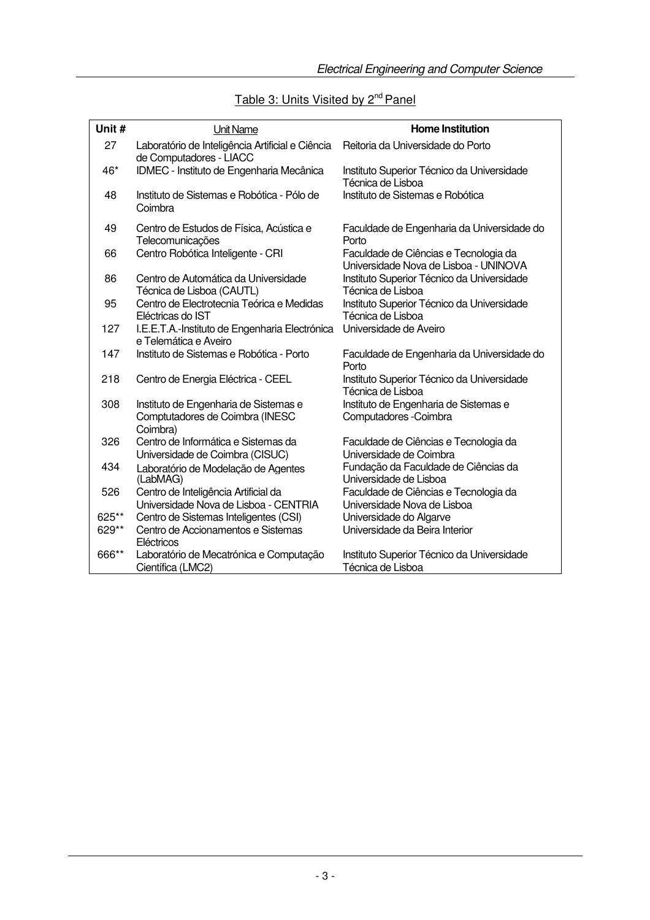| Unit # | Unit Name                                                                   | Home Institution                                                |
|--------|-----------------------------------------------------------------------------|-----------------------------------------------------------------|
| 27     | Laboratório de Inteligência Artificial e Ciência<br>de Computadores - LIACC | Reitoria da Universidade do Porto                               |
| 46*    | IDMEC - Instituto de Engenharia Mecânica                                    | Instituto Superior Técnico da Universidade<br>Técnica de Lisboa |
| 48     | Instituto de Sistemas e Robótica - Pólo de<br>Coimbra                       | Instituto de Sistemas e Robótica                                |
| 49     | Centro de Estudos de Física, Acústica e<br><b>Telecomunicações</b>          | Faculdade de Engenharia da Universidade do<br>Porto             |
| 66     | Centro Robótica Inteligente - CRI                                           | Faculdade de Ciências e Tecnologia da                           |

# Table 3: Units Visited by 2<sup>nd</sup> Panel

|       | Telecomunicações                                                                     | Porto                                                                          |
|-------|--------------------------------------------------------------------------------------|--------------------------------------------------------------------------------|
| 66    | Centro Robótica Inteligente - CRI                                                    | Faculdade de Ciências e Tecnologia da<br>Universidade Nova de Lisboa - UNINOVA |
| 86    | Centro de Automática da Universidade<br>Técnica de Lisboa (CAUTL)                    | Instituto Superior Técnico da Universidade<br>Técnica de Lisboa                |
| 95    | Centro de Electrotecnia Teórica e Medidas<br>Eléctricas do IST                       | Instituto Superior Técnico da Universidade<br>Técnica de Lisboa                |
| 127   | I.E.E.T.A.-Instituto de Engenharia Electrónica<br>e Telemática e Aveiro              | Universidade de Aveiro                                                         |
| 147   | Instituto de Sistemas e Robótica - Porto                                             | Faculdade de Engenharia da Universidade do<br>Porto                            |
| 218   | Centro de Energia Eléctrica - CEEL                                                   | Instituto Superior Técnico da Universidade<br>Técnica de Lisboa                |
| 308   | Instituto de Engenharia de Sistemas e<br>Comptutadores de Coimbra (INESC<br>Coimbra) | Instituto de Engenharia de Sistemas e<br>Computadores - Coimbra                |
| 326   | Centro de Informática e Sistemas da<br>Universidade de Coimbra (CISUC)               | Faculdade de Ciências e Tecnologia da<br>Universidade de Coimbra               |
| 434   | Laboratório de Modelação de Agentes<br>(LabMAG)                                      | Fundação da Faculdade de Ciências da<br>Universidade de Lisboa                 |
| 526   | Centro de Inteligência Artificial da<br>Universidade Nova de Lisboa - CENTRIA        | Faculdade de Ciências e Tecnologia da<br>Universidade Nova de Lisboa           |
| 625** | Centro de Sistemas Inteligentes (CSI)                                                | Universidade do Algarve                                                        |
| 629** | Centro de Accionamentos e Sistemas                                                   | Universidade da Beira Interior                                                 |
|       | Eléctricos                                                                           |                                                                                |
| 666** | Laboratório de Mecatrónica e Computação                                              | Instituto Superior Técnico da Universidade                                     |
|       | Científica (LMC2)                                                                    | Técnica de Lisboa                                                              |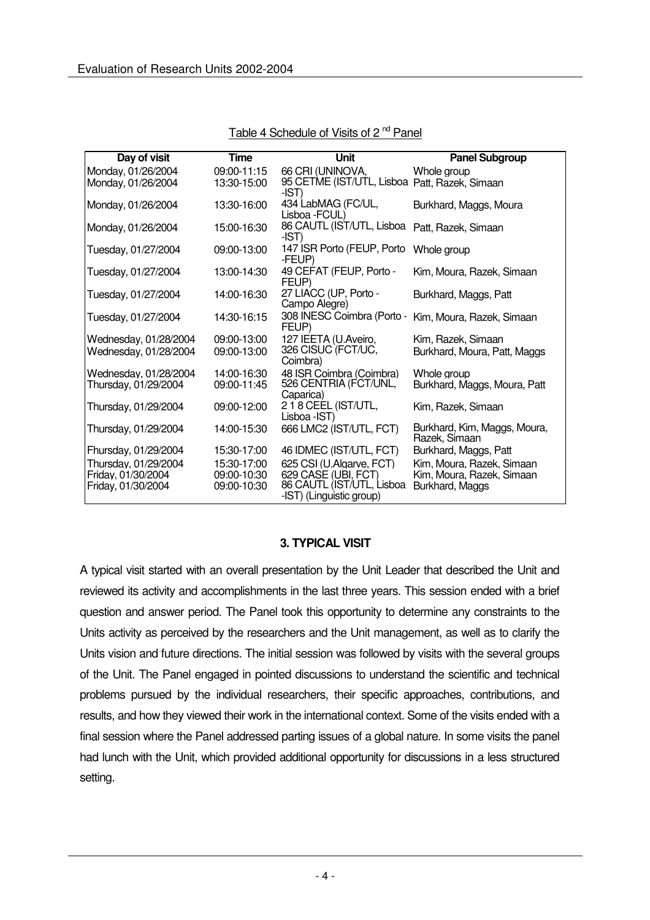| Day of visit          | <b>Time</b> | <b>Unit</b>                                            | <b>Panel Subgroup</b>                         |
|-----------------------|-------------|--------------------------------------------------------|-----------------------------------------------|
| Monday, 01/26/2004    | 09:00-11:15 | 66 CRI (UNINOVA,                                       | Whole group                                   |
| Monday, 01/26/2004    | 13:30-15:00 | 95 CETME (IST/UTL, Lisboa Patt, Razek, Simaan<br>-IST) |                                               |
| Monday, 01/26/2004    | 13:30-16:00 | 434 LabMAG (FC/UL,<br>Lisboa - FCUL)                   | Burkhard, Maggs, Moura                        |
| Monday, 01/26/2004    | 15:00-16:30 | 86 CAUTL (IST/UTL, Lisboa<br>-IST)                     | Patt, Razek, Simaan                           |
| Tuesday, 01/27/2004   | 09:00-13:00 | 147 ISR Porto (FEUP, Porto<br>-FEUP)                   | Whole group                                   |
| Tuesday, 01/27/2004   | 13:00-14:30 | 49 CEFAT (FEUP, Porto -<br>FEUP)                       | Kim, Moura, Razek, Simaan                     |
| Tuesday, 01/27/2004   | 14:00-16:30 | 27 LIACC (UP, Porto -<br>Campo Alegre)                 | Burkhard, Maggs, Patt                         |
| Tuesday, 01/27/2004   | 14:30-16:15 | 308 INESC Coimbra (Porto -<br>FEUP)                    | Kim, Moura, Razek, Simaan                     |
| Wednesday, 01/28/2004 | 09:00-13:00 | 127 IEETA (U.Aveiro,                                   | Kim, Razek, Simaan                            |
| Wednesday, 01/28/2004 | 09:00-13:00 | 326 CISUC (FCT/UC,<br>Coimbra)                         | Burkhard, Moura, Patt, Maggs                  |
| Wednesday, 01/28/2004 | 14:00-16:30 | 48 ISR Coimbra (Coimbra)                               | Whole aroup                                   |
| Thursday, 01/29/2004  | 09:00-11:45 | 526 CENTRIA (FCT/UNL,<br>Caparica)                     | Burkhard, Maggs, Moura, Patt                  |
| Thursday, 01/29/2004  | 09:00-12:00 | 218 CEEL (IST/UTL,<br>Lisboa - IST)                    | Kim, Razek, Simaan                            |
| Thursday, 01/29/2004  | 14:00-15:30 | 666 LMC2 (IST/UTL, FCT)                                | Burkhard, Kim, Maggs, Moura,<br>Razek, Simaan |
| Fhursday, 01/29/2004  | 15:30-17:00 | 46 IDMEC (IST/UTL, FCT)                                | Burkhard, Maggs, Patt                         |
| Thursday, 01/29/2004  | 15:30-17:00 | 625 CSI (U.Algarve, FCT)                               | Kim, Moura, Razek, Simaan                     |
| Friday, 01/30/2004    | 09:00-10:30 | 629 CASE (UBI, FCT)                                    | Kim, Moura, Razek, Simaan                     |
| Friday, 01/30/2004    | 09:00-10:30 | 86 CAUTL (IST/UTL, Lisboa                              | Burkhard, Maggs                               |
|                       |             | -IST) (Linguistic group)                               |                                               |

Table 4 Schedule of Visits of 2<sup>nd</sup> Panel

#### **3. TYPICAL VISIT**

A typical visit started with an overall presentation by the Unit Leader that described the Unit and reviewed its activity and accomplishments in the last three years. This session ended with a brief question and answer period. The Panel took this opportunity to determine any constraints to the Units activity as perceived by the researchers and the Unit management, as well as to clarify the Units vision and future directions. The initial session was followed by visits with the several groups of the Unit. The Panel engaged in pointed discussions to understand the scientific and technical problems pursued by the individual researchers, their specific approaches, contributions, and results, and how they viewed their work in the international context. Some of the visits ended with a final session where the Panel addressed parting issues of a global nature. In some visits the panel had lunch with the Unit, which provided additional opportunity for discussions in a less structured setting.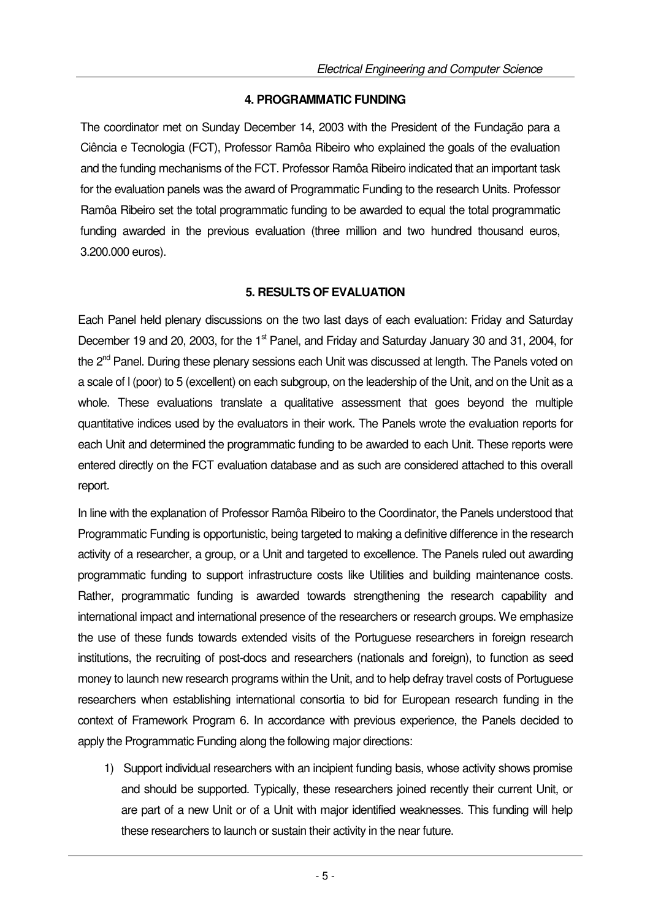## **4. PROGRAMMATIC FUNDING**

The coordinator met on Sunday December 14, 2003 with the President of the Fundação para a Ciência e Tecnologia (FCT), Professor Ramôa Ribeiro who explained the goals of the evaluation and the funding mechanisms of the FCT. Professor Ramôa Ribeiro indicated that an important task for the evaluation panels was the award of Programmatic Funding to the research Units. Professor Ramôa Ribeiro set the total programmatic funding to be awarded to equal the total programmatic funding awarded in the previous evaluation (three million and two hundred thousand euros, 3.200.000 euros).

## **5. RESULTS OF EVALUATION**

Each Panel held plenary discussions on the two last days of each evaluation: Friday and Saturday December 19 and 20, 2003, for the 1<sup>st</sup> Panel, and Friday and Saturday January 30 and 31, 2004, for the 2<sup>nd</sup> Panel. During these plenary sessions each Unit was discussed at length. The Panels voted on a scale of l (poor) to 5 (excellent) on each subgroup, on the leadership of the Unit, and on the Unit as a whole. These evaluations translate a qualitative assessment that goes beyond the multiple quantitative indices used by the evaluators in their work. The Panels wrote the evaluation reports for each Unit and determined the programmatic funding to be awarded to each Unit. These reports were entered directly on the FCT evaluation database and as such are considered attached to this overall report.

In line with the explanation of Professor Ramôa Ribeiro to the Coordinator, the Panels understood that Programmatic Funding is opportunistic, being targeted to making a definitive difference in the research activity of a researcher, a group, or a Unit and targeted to excellence. The Panels ruled out awarding programmatic funding to support infrastructure costs like Utilities and building maintenance costs. Rather, programmatic funding is awarded towards strengthening the research capability and international impact and international presence of the researchers or research groups. We emphasize the use of these funds towards extended visits of the Portuguese researchers in foreign research institutions, the recruiting of post-docs and researchers (nationals and foreign), to function as seed money to launch new research programs within the Unit, and to help defray travel costs of Portuguese researchers when establishing international consortia to bid for European research funding in the context of Framework Program 6. In accordance with previous experience, the Panels decided to apply the Programmatic Funding along the following major directions:

1) Support individual researchers with an incipient funding basis, whose activity shows promise and should be supported. Typically, these researchers joined recently their current Unit, or are part of a new Unit or of a Unit with major identified weaknesses. This funding will help these researchers to launch or sustain their activity in the near future.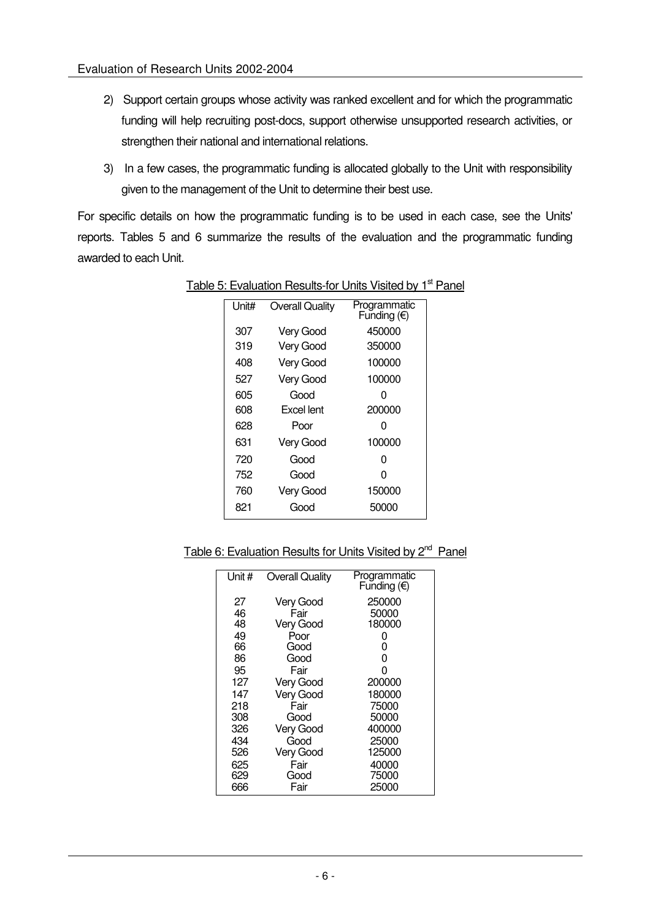- 2) Support certain groups whose activity was ranked excellent and for which the programmatic funding will help recruiting post-docs, support otherwise unsupported research activities, or strengthen their national and international relations.
- 3) In a few cases, the programmatic funding is allocated globally to the Unit with responsibility given to the management of the Unit to determine their best use.

For specific details on how the programmatic funding is to be used in each case, see the Units' reports. Tables 5 and 6 summarize the results of the evaluation and the programmatic funding awarded to each Unit.

| Unit# | <b>Overall Quality</b> | Programmatic<br>Funding $(E)$ |
|-------|------------------------|-------------------------------|
| 307   | Very Good              | 450000                        |
| 319   | Very Good              | 350000                        |
| 408   | Very Good              | 100000                        |
| 527   | Very Good              | 100000                        |
| 605   | Good                   | O                             |
| 608   | Excel lent             | 200000                        |
| 628   | Poor                   | O                             |
| 631   | Very Good              | 100000                        |
| 720   | Good                   | ი                             |
| 752   | Good                   | ი                             |
| 760   | Very Good              | 150000                        |
| 821   | Good                   | 50000                         |

## Table 5: Evaluation Results-for Units Visited by 1<sup>st</sup> Panel

Table 6: Evaluation Results for Units Visited by 2<sup>nd</sup> Panel

| Unit # | <b>Overall Quality</b> | Programmatic<br>Funding $(\epsilon)$ |
|--------|------------------------|--------------------------------------|
| 27     | Very Good              | 250000                               |
| 46     | Fair                   | 50000                                |
| 48     | <b>Very Good</b>       | 180000                               |
| 49     | Poor                   | 0                                    |
| 66     | Good                   | 0                                    |
| 86     | Good                   | 0                                    |
| 95     | Fair                   | 0                                    |
| 127    | Very Good              | 200000                               |
| 147    | <b>Very Good</b>       | 180000                               |
| 218    | Fair                   | 75000                                |
| 308    | Good                   | 50000                                |
| 326    | Very Good              | 400000                               |
| 434    | Good                   | 25000                                |
| 526    | <b>Very Good</b>       | 125000                               |
| 625    | Fair                   | 40000                                |
| 629    | Good                   | 75000                                |
| 666    | Fair                   | 25000                                |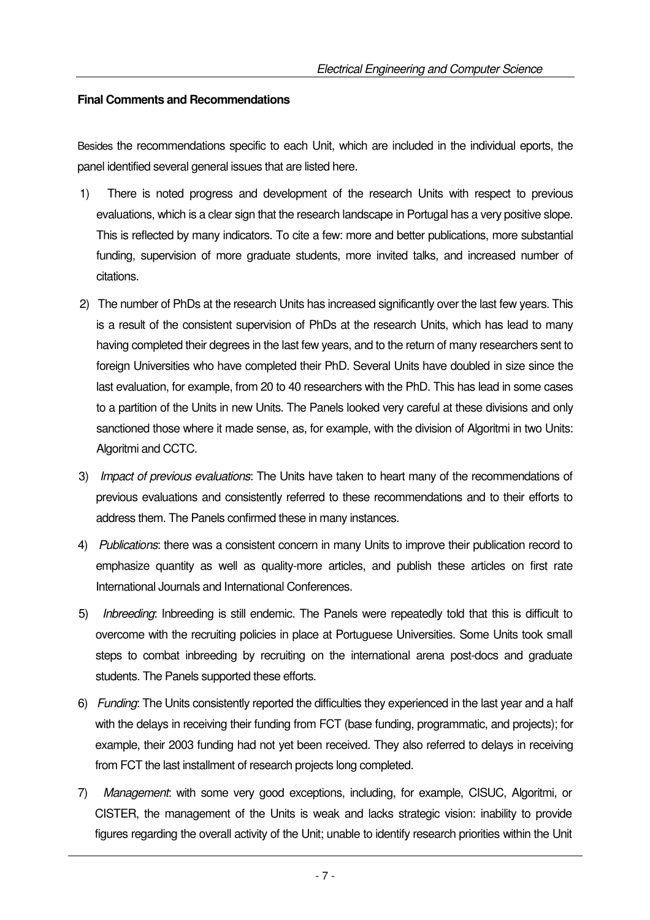#### **Final Comments and Recommendations**

Besides the recommendations specific to each Unit, which are included in the individual eports, the panel identified several general issues that are listed here.

- 1) There is noted progress and development of the research Units with respect to previous evaluations, which is a clear sign that the research landscape in Portugal has a very positive slope. This is reflected by many indicators. To cite a few: more and better publications, more substantial funding, supervision of more graduate students, more invited talks, and increased number of citations.
- 2) The number of PhDs at the research Units has increased significantly over the last few years. This is a result of the consistent supervision of PhDs at the research Units, which has lead to many having completed their degrees in the last few years, and to the return of many researchers sent to foreign Universities who have completed their PhD. Several Units have doubled in size since the last evaluation, for example, from 20 to 40 researchers with the PhD. This has lead in some cases to a partition of the Units in new Units. The Panels looked very careful at these divisions and only sanctioned those where it made sense, as, for example, with the division of Algoritmi in two Units: Algoritmi and CCTC.
- 3) Impact of previous evaluations: The Units have taken to heart many of the recommendations of previous evaluations and consistently referred to these recommendations and to their efforts to address them. The Panels confirmed these in many instances.
- 4) Publications: there was a consistent concern in many Units to improve their publication record to emphasize quantity as well as quality-more articles, and publish these articles on first rate International Journals and International Conferences.
- 5) Inbreeding: Inbreeding is still endemic. The Panels were repeatedly told that this is difficult to overcome with the recruiting policies in place at Portuguese Universities. Some Units took small steps to combat inbreeding by recruiting on the international arena post-docs and graduate students. The Panels supported these efforts.
- 6) Funding: The Units consistently reported the difficulties they experienced in the last year and a half with the delays in receiving their funding from FCT (base funding, programmatic, and projects); for example, their 2003 funding had not yet been received. They also referred to delays in receiving from FCT the last installment of research projects long completed.
- 7) Management: with some very good exceptions, including, for example, CISUC, Algoritmi, or CISTER, the management of the Units is weak and lacks strategic vision: inability to provide figures regarding the overall activity of the Unit; unable to identify research priorities within the Unit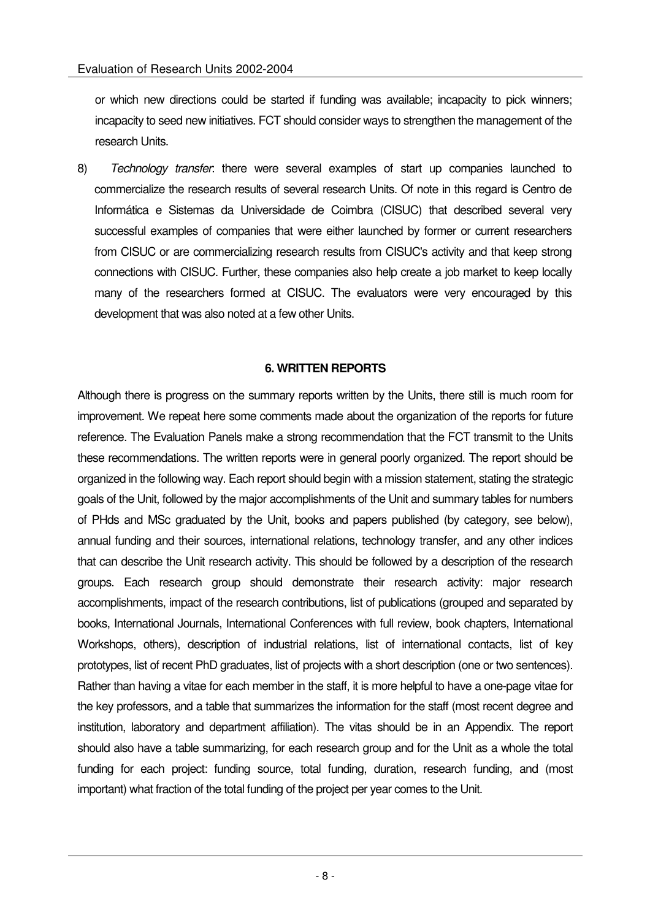or which new directions could be started if funding was available; incapacity to pick winners; incapacity to seed new initiatives. FCT should consider ways to strengthen the management of the research Units.

8) Technology transfer: there were several examples of start up companies launched to commercialize the research results of several research Units. Of note in this regard is Centro de Informática e Sistemas da Universidade de Coimbra (CISUC) that described several very successful examples of companies that were either launched by former or current researchers from CISUC or are commercializing research results from CISUC's activity and that keep strong connections with CISUC. Further, these companies also help create a job market to keep locally many of the researchers formed at CISUC. The evaluators were very encouraged by this development that was also noted at a few other Units.

## **6. WRITTEN REPORTS**

Although there is progress on the summary reports written by the Units, there still is much room for improvement. We repeat here some comments made about the organization of the reports for future reference. The Evaluation Panels make a strong recommendation that the FCT transmit to the Units these recommendations. The written reports were in general poorly organized. The report should be organized in the following way. Each report should begin with a mission statement, stating the strategic goals of the Unit, followed by the major accomplishments of the Unit and summary tables for numbers of PHds and MSc graduated by the Unit, books and papers published (by category, see below), annual funding and their sources, international relations, technology transfer, and any other indices that can describe the Unit research activity. This should be followed by a description of the research groups. Each research group should demonstrate their research activity: major research accomplishments, impact of the research contributions, list of publications (grouped and separated by books, International Journals, International Conferences with full review, book chapters, International Workshops, others), description of industrial relations, list of international contacts, list of key prototypes, list of recent PhD graduates, list of projects with a short description (one or two sentences). Rather than having a vitae for each member in the staff, it is more helpful to have a one-page vitae for the key professors, and a table that summarizes the information for the staff (most recent degree and institution, laboratory and department affiliation). The vitas should be in an Appendix. The report should also have a table summarizing, for each research group and for the Unit as a whole the total funding for each project: funding source, total funding, duration, research funding, and (most important) what fraction of the total funding of the project per year comes to the Unit.